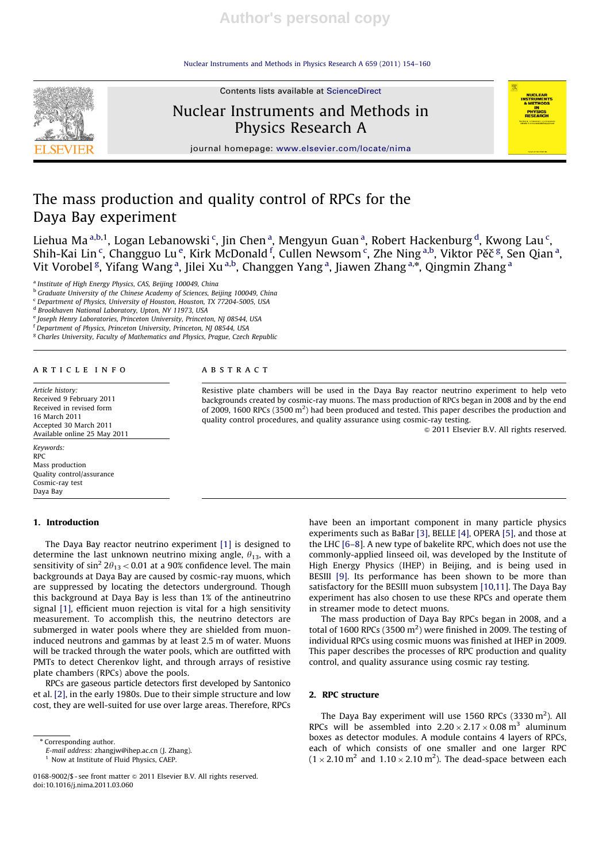Nuclear Instruments and Methods in Physics Research A 659 (2011) 154–160

Contents lists available at ScienceDirect



# Nuclear Instruments and Methods in Physics Research A

journal homepage: www.elsevier.com/locate/nima

# The mass production and quality control of RPCs for the Daya Bay experiment

Liehua Ma $^{\text{a,b,1}}$ , Logan Lebanowski  $^{\mathsf{c}}$ , Jin Chen  $^{\mathsf{a}}$ , Mengyun Guan  $^{\mathsf{a}}$ , Robert Hackenburg  $^{\mathsf{d}}$ , Kwong Lau  $^{\mathsf{c}}$ , Shih-Kai Lin<sup>c</sup>, Changguo Lu<sup>e</sup>, Kirk McDonald<sup>f</sup>, Cullen Newsom<sup>c</sup>, Zhe Ning<sup>a,b</sup>, Viktor Pěč<sup>g</sup>, Sen Qian<sup>a</sup>, Vit Vorobel <sup>g</sup>, Yifang Wang <sup>a</sup>, Jilei Xu <sup>a,b</sup>, Changgen Yang <sup>a</sup>, Jiawen Zhang <sup>a,\*</sup>, Qingmin Zhang <sup>a</sup>

<sup>a</sup> Institute of High Energy Physics, CAS, Beijing 100049, China

**b** Graduate University of the Chinese Academy of Sciences, Beijing 100049, China

<sup>c</sup> Department of Physics, University of Houston, Houston, TX 77204-5005, USA

<sup>d</sup> Brookhaven National Laboratory, Upton, NY 11973, USA

e Joseph Henry Laboratories, Princeton University, Princeton, NJ 08544, USA

<sup>f</sup> Department of Physics, Princeton University, Princeton, NJ 08544, USA

<sup>g</sup> Charles University, Faculty of Mathematics and Physics, Prague, Czech Republic

#### article info

Article history: Received 9 February 2011 Received in revised form 16 March 2011 Accepted 30 March 2011 Available online 25 May 2011

Keywords: RPC Mass production Quality control/assurance Cosmic-ray test Daya Bay

# 1. Introduction

The Daya Bay reactor neutrino experiment [1] is designed to determine the last unknown neutrino mixing angle,  $\theta_{13}$ , with a sensitivity of  $\sin^2 2\theta_{13}$  < 0.01 at a 90% confidence level. The main backgrounds at Daya Bay are caused by cosmic-ray muons, which are suppressed by locating the detectors underground. Though this background at Daya Bay is less than 1% of the antineutrino signal [1], efficient muon rejection is vital for a high sensitivity measurement. To accomplish this, the neutrino detectors are submerged in water pools where they are shielded from muoninduced neutrons and gammas by at least 2.5 m of water. Muons will be tracked through the water pools, which are outfitted with PMTs to detect Cherenkov light, and through arrays of resistive plate chambers (RPCs) above the pools.

RPCs are gaseous particle detectors first developed by Santonico et al. [2], in the early 1980s. Due to their simple structure and low cost, they are well-suited for use over large areas. Therefore, RPCs

\* Corresponding author.

E-mail address: zhangjw@ihep.ac.cn (J. Zhang).

<sup>1</sup> Now at Institute of Fluid Physics, CAEP.

#### **ABSTRACT**

Resistive plate chambers will be used in the Daya Bay reactor neutrino experiment to help veto backgrounds created by cosmic-ray muons. The mass production of RPCs began in 2008 and by the end of 2009, 1600 RPCs (3500  $m<sup>2</sup>$ ) had been produced and tested. This paper describes the production and quality control procedures, and quality assurance using cosmic-ray testing.

 $©$  2011 Elsevier B.V. All rights reserved.

have been an important component in many particle physics experiments such as BaBar [3], BELLE [4], OPERA [5], and those at the LHC [6–8]. A new type of bakelite RPC, which does not use the commonly-applied linseed oil, was developed by the Institute of High Energy Physics (IHEP) in Beijing, and is being used in BESIII <a>[9]</a>. Its performance has been shown to be more than satisfactory for the BESIII muon subsystem [10,11]. The Daya Bay experiment has also chosen to use these RPCs and operate them in streamer mode to detect muons.

The mass production of Daya Bay RPCs began in 2008, and a total of 1600 RPCs (3500  $m<sup>2</sup>$ ) were finished in 2009. The testing of individual RPCs using cosmic muons was finished at IHEP in 2009. This paper describes the processes of RPC production and quality control, and quality assurance using cosmic ray testing.

## 2. RPC structure

The Daya Bay experiment will use  $1560$  RPCs (3330 m<sup>2</sup>). All RPCs will be assembled into  $2.20 \times 2.17 \times 0.08$  m<sup>3</sup> aluminum boxes as detector modules. A module contains 4 layers of RPCs, each of which consists of one smaller and one larger RPC  $(1 \times 2.10 \text{ m}^2 \text{ and } 1.10 \times 2.10 \text{ m}^2)$ . The dead-space between each



<sup>0168-9002/\$ -</sup> see front matter & 2011 Elsevier B.V. All rights reserved. doi:10.1016/j.nima.2011.03.060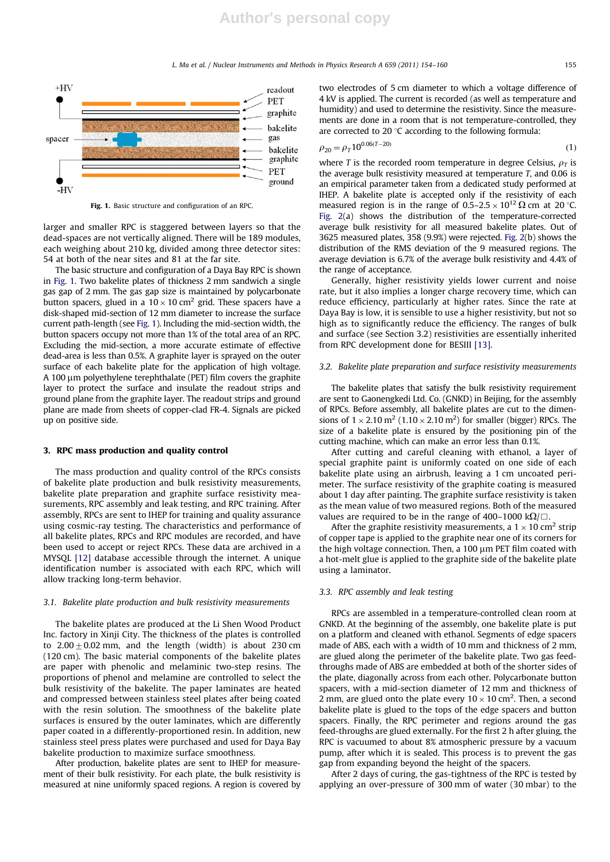

Fig. 1. Basic structure and configuration of an RPC.

larger and smaller RPC is staggered between layers so that the dead-spaces are not vertically aligned. There will be 189 modules, each weighing about 210 kg, divided among three detector sites: 54 at both of the near sites and 81 at the far site.

The basic structure and configuration of a Daya Bay RPC is shown in Fig. 1. Two bakelite plates of thickness 2 mm sandwich a single gas gap of 2 mm. The gas gap size is maintained by polycarbonate button spacers, glued in a 10  $\times$  10 cm<sup>2</sup> grid. These spacers have a disk-shaped mid-section of 12 mm diameter to increase the surface current path-length (see Fig. 1). Including the mid-section width, the button spacers occupy not more than 1% of the total area of an RPC. Excluding the mid-section, a more accurate estimate of effective dead-area is less than 0.5%. A graphite layer is sprayed on the outer surface of each bakelite plate for the application of high voltage. A 100 µm polyethylene terephthalate (PET) film covers the graphite layer to protect the surface and insulate the readout strips and ground plane from the graphite layer. The readout strips and ground plane are made from sheets of copper-clad FR-4. Signals are picked up on positive side.

#### 3. RPC mass production and quality control

The mass production and quality control of the RPCs consists of bakelite plate production and bulk resistivity measurements, bakelite plate preparation and graphite surface resistivity measurements, RPC assembly and leak testing, and RPC training. After assembly, RPCs are sent to IHEP for training and quality assurance using cosmic-ray testing. The characteristics and performance of all bakelite plates, RPCs and RPC modules are recorded, and have been used to accept or reject RPCs. These data are archived in a MYSQL [12] database accessible through the internet. A unique identification number is associated with each RPC, which will allow tracking long-term behavior.

#### 3.1. Bakelite plate production and bulk resistivity measurements

The bakelite plates are produced at the Li Shen Wood Product Inc. factory in Xinji City. The thickness of the plates is controlled to  $2.00 \pm 0.02$  mm, and the length (width) is about 230 cm (120 cm). The basic material components of the bakelite plates are paper with phenolic and melaminic two-step resins. The proportions of phenol and melamine are controlled to select the bulk resistivity of the bakelite. The paper laminates are heated and compressed between stainless steel plates after being coated with the resin solution. The smoothness of the bakelite plate surfaces is ensured by the outer laminates, which are differently paper coated in a differently-proportioned resin. In addition, new stainless steel press plates were purchased and used for Daya Bay bakelite production to maximize surface smoothness.

After production, bakelite plates are sent to IHEP for measurement of their bulk resistivity. For each plate, the bulk resistivity is measured at nine uniformly spaced regions. A region is covered by two electrodes of 5 cm diameter to which a voltage difference of 4 kV is applied. The current is recorded (as well as temperature and humidity) and used to determine the resistivity. Since the measurements are done in a room that is not temperature-controlled, they are corrected to 20 $\degree$ C according to the following formula:

$$
\rho_{20} = \rho_T 10^{0.06(T - 20)}\tag{1}
$$

where T is the recorded room temperature in degree Celsius,  $\rho_T$  is the average bulk resistivity measured at temperature  $T$ , and 0.06 is an empirical parameter taken from a dedicated study performed at IHEP. A bakelite plate is accepted only if the resistivity of each measured region is in the range of  $0.5-2.5 \times 10^{12} \Omega$  cm at 20 °C. Fig. 2(a) shows the distribution of the temperature-corrected average bulk resistivity for all measured bakelite plates. Out of 3625 measured plates, 358 (9.9%) were rejected. Fig. 2(b) shows the distribution of the RMS deviation of the 9 measured regions. The average deviation is 6.7% of the average bulk resistivity and 4.4% of the range of acceptance.

Generally, higher resistivity yields lower current and noise rate, but it also implies a longer charge recovery time, which can reduce efficiency, particularly at higher rates. Since the rate at Daya Bay is low, it is sensible to use a higher resistivity, but not so high as to significantly reduce the efficiency. The ranges of bulk and surface (see Section 3.2) resistivities are essentially inherited from RPC development done for BESIII [13].

#### 3.2. Bakelite plate preparation and surface resistivity measurements

The bakelite plates that satisfy the bulk resistivity requirement are sent to Gaonengkedi Ltd. Co. (GNKD) in Beijing, for the assembly of RPCs. Before assembly, all bakelite plates are cut to the dimensions of  $1 \times 2.10 \text{ m}^2 (1.10 \times 2.10 \text{ m}^2)$  for smaller (bigger) RPCs. The size of a bakelite plate is ensured by the positioning pin of the cutting machine, which can make an error less than 0.1%.

After cutting and careful cleaning with ethanol, a layer of special graphite paint is uniformly coated on one side of each bakelite plate using an airbrush, leaving a 1 cm uncoated perimeter. The surface resistivity of the graphite coating is measured about 1 day after painting. The graphite surface resistivity is taken as the mean value of two measured regions. Both of the measured values are required to be in the range of 400–1000 k $\Omega/\Box$ .

After the graphite resistivity measurements, a  $1 \times 10 \text{ cm}^2$  strip of copper tape is applied to the graphite near one of its corners for the high voltage connection. Then, a  $100 \mu m$  PET film coated with a hot-melt glue is applied to the graphite side of the bakelite plate using a laminator.

# 3.3. RPC assembly and leak testing

RPCs are assembled in a temperature-controlled clean room at GNKD. At the beginning of the assembly, one bakelite plate is put on a platform and cleaned with ethanol. Segments of edge spacers made of ABS, each with a width of 10 mm and thickness of 2 mm, are glued along the perimeter of the bakelite plate. Two gas feedthroughs made of ABS are embedded at both of the shorter sides of the plate, diagonally across from each other. Polycarbonate button spacers, with a mid-section diameter of 12 mm and thickness of 2 mm, are glued onto the plate every  $10 \times 10$  cm<sup>2</sup>. Then, a second bakelite plate is glued to the tops of the edge spacers and button spacers. Finally, the RPC perimeter and regions around the gas feed-throughs are glued externally. For the first 2 h after gluing, the RPC is vacuumed to about 8% atmospheric pressure by a vacuum pump, after which it is sealed. This process is to prevent the gas gap from expanding beyond the height of the spacers.

After 2 days of curing, the gas-tightness of the RPC is tested by applying an over-pressure of 300 mm of water (30 mbar) to the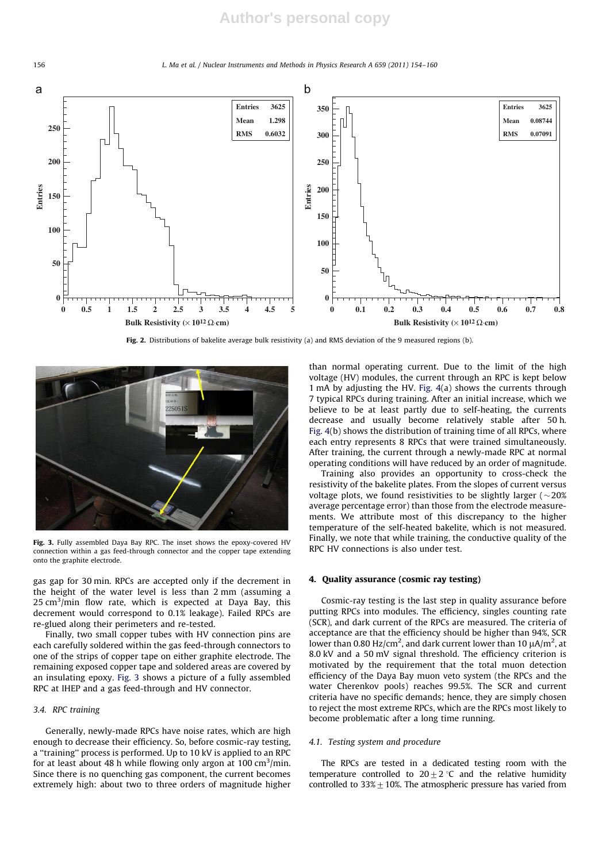156 L. Ma et al. / Nuclear Instruments and Methods in Physics Research A 659 (2011) 154–160



Fig. 2. Distributions of bakelite average bulk resistivity (a) and RMS deviation of the 9 measured regions (b).



Fig. 3. Fully assembled Daya Bay RPC. The inset shows the epoxy-covered HV connection within a gas feed-through connector and the copper tape extending onto the graphite electrode.

gas gap for 30 min. RPCs are accepted only if the decrement in the height of the water level is less than 2 mm (assuming a 25 cm<sup>3</sup>/min flow rate, which is expected at Daya Bay, this decrement would correspond to 0.1% leakage). Failed RPCs are re-glued along their perimeters and re-tested.

Finally, two small copper tubes with HV connection pins are each carefully soldered within the gas feed-through connectors to one of the strips of copper tape on either graphite electrode. The remaining exposed copper tape and soldered areas are covered by an insulating epoxy. Fig. 3 shows a picture of a fully assembled RPC at IHEP and a gas feed-through and HV connector.

# 3.4. RPC training

Generally, newly-made RPCs have noise rates, which are high enough to decrease their efficiency. So, before cosmic-ray testing, a ''training'' process is performed. Up to 10 kV is applied to an RPC for at least about 48 h while flowing only argon at 100 cm<sup>3</sup>/min. Since there is no quenching gas component, the current becomes extremely high: about two to three orders of magnitude higher than normal operating current. Due to the limit of the high voltage (HV) modules, the current through an RPC is kept below 1 mA by adjusting the HV. Fig. 4(a) shows the currents through 7 typical RPCs during training. After an initial increase, which we believe to be at least partly due to self-heating, the currents decrease and usually become relatively stable after 50 h. Fig. 4(b) shows the distribution of training time of all RPCs, where each entry represents 8 RPCs that were trained simultaneously. After training, the current through a newly-made RPC at normal operating conditions will have reduced by an order of magnitude.

Training also provides an opportunity to cross-check the resistivity of the bakelite plates. From the slopes of current versus voltage plots, we found resistivities to be slightly larger ( $\sim$ 20%) average percentage error) than those from the electrode measurements. We attribute most of this discrepancy to the higher temperature of the self-heated bakelite, which is not measured. Finally, we note that while training, the conductive quality of the RPC HV connections is also under test.

### 4. Quality assurance (cosmic ray testing)

Cosmic-ray testing is the last step in quality assurance before putting RPCs into modules. The efficiency, singles counting rate (SCR), and dark current of the RPCs are measured. The criteria of acceptance are that the efficiency should be higher than 94%, SCR lower than 0.80 Hz/cm<sup>2</sup>, and dark current lower than 10  $\mu$ A/m<sup>2</sup>, at 8.0 kV and a 50 mV signal threshold. The efficiency criterion is motivated by the requirement that the total muon detection efficiency of the Daya Bay muon veto system (the RPCs and the water Cherenkov pools) reaches 99.5%. The SCR and current criteria have no specific demands; hence, they are simply chosen to reject the most extreme RPCs, which are the RPCs most likely to become problematic after a long time running.

#### 4.1. Testing system and procedure

The RPCs are tested in a dedicated testing room with the temperature controlled to  $20 \pm 2$  °C and the relative humidity controlled to  $33\% \pm 10\%$ . The atmospheric pressure has varied from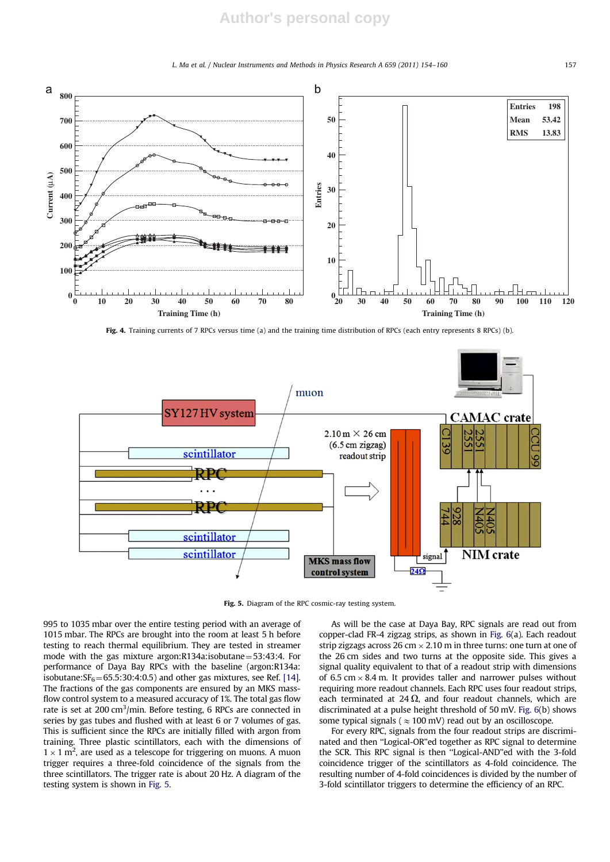L. Ma et al. / Nuclear Instruments and Methods in Physics Research A 659 (2011) 154–160 157



Fig. 4. Training currents of 7 RPCs versus time (a) and the training time distribution of RPCs (each entry represents 8 RPCs) (b).



Fig. 5. Diagram of the RPC cosmic-ray testing system.

995 to 1035 mbar over the entire testing period with an average of 1015 mbar. The RPCs are brought into the room at least 5 h before testing to reach thermal equilibrium. They are tested in streamer mode with the gas mixture argon:R134a:isobutane $=$ 53:43:4. For performance of Daya Bay RPCs with the baseline (argon:R134a: isobutane: $SF_6 = 65.5:30:4:0.5$  and other gas mixtures, see Ref. [14]. The fractions of the gas components are ensured by an MKS massflow control system to a measured accuracy of 1%. The total gas flow rate is set at 200  $\text{cm}^3/\text{min}$ . Before testing, 6 RPCs are connected in series by gas tubes and flushed with at least 6 or 7 volumes of gas. This is sufficient since the RPCs are initially filled with argon from training. Three plastic scintillators, each with the dimensions of  $1 \times 1$  m<sup>2</sup>, are used as a telescope for triggering on muons. A muon trigger requires a three-fold coincidence of the signals from the three scintillators. The trigger rate is about 20 Hz. A diagram of the testing system is shown in Fig. 5.

As will be the case at Daya Bay, RPC signals are read out from copper-clad FR-4 zigzag strips, as shown in Fig. 6(a). Each readout strip zigzags across 26 cm  $\times$  2.10 m in three turns: one turn at one of the 26 cm sides and two turns at the opposite side. This gives a signal quality equivalent to that of a readout strip with dimensions of 6.5 cm  $\times$  8.4 m. It provides taller and narrower pulses without requiring more readout channels. Each RPC uses four readout strips, each terminated at 24  $\Omega$ , and four readout channels, which are discriminated at a pulse height threshold of 50 mV. Fig. 6(b) shows some typical signals ( $\approx$  100 mV) read out by an oscilloscope.

For every RPC, signals from the four readout strips are discriminated and then ''Logical-OR''ed together as RPC signal to determine the SCR. This RPC signal is then ''Logical-AND''ed with the 3-fold coincidence trigger of the scintillators as 4-fold coincidence. The resulting number of 4-fold coincidences is divided by the number of 3-fold scintillator triggers to determine the efficiency of an RPC.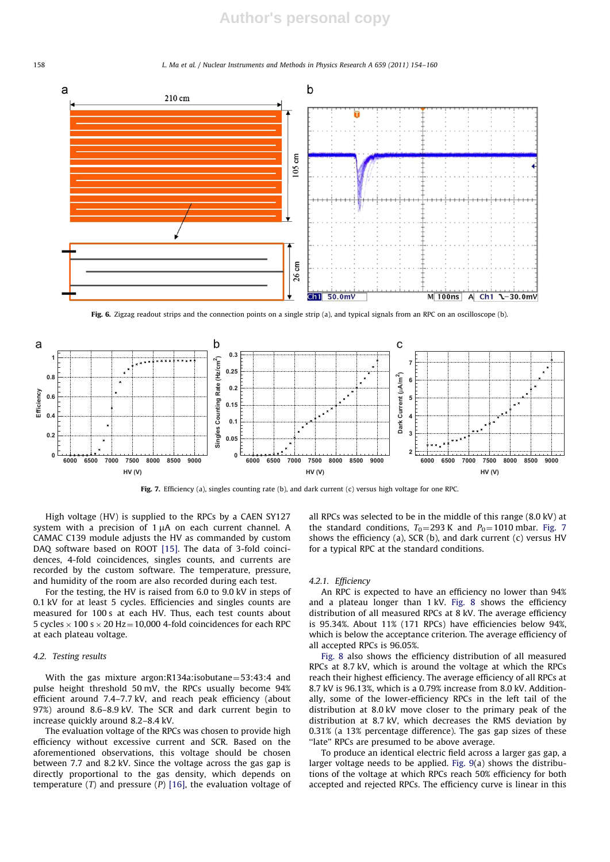# **Author's personal copy**

#### 158 L. Ma et al. / Nuclear Instruments and Methods in Physics Research A 659 (2011) 154–160



Fig. 6. Zigzag readout strips and the connection points on a single strip (a), and typical signals from an RPC on an oscilloscope (b).



Fig. 7. Efficiency (a), singles counting rate (b), and dark current (c) versus high voltage for one RPC.

High voltage (HV) is supplied to the RPCs by a CAEN SY127 system with a precision of  $1 \mu A$  on each current channel. A CAMAC C139 module adjusts the HV as commanded by custom DAQ software based on ROOT [15]. The data of 3-fold coincidences, 4-fold coincidences, singles counts, and currents are recorded by the custom software. The temperature, pressure, and humidity of the room are also recorded during each test.

For the testing, the HV is raised from 6.0 to 9.0 kV in steps of 0.1 kV for at least 5 cycles. Efficiencies and singles counts are measured for 100 s at each HV. Thus, each test counts about 5 cycles  $\times$  100 s  $\times$  20 Hz=10,000 4-fold coincidences for each RPC at each plateau voltage.

#### 4.2. Testing results

With the gas mixture argon:R134a:isobutane= $53:43:4$  and pulse height threshold 50 mV, the RPCs usually become 94% efficient around 7.4–7.7 kV, and reach peak efficiency (about 97%) around 8.6–8.9 kV. The SCR and dark current begin to increase quickly around 8.2–8.4 kV.

The evaluation voltage of the RPCs was chosen to provide high efficiency without excessive current and SCR. Based on the aforementioned observations, this voltage should be chosen between 7.7 and 8.2 kV. Since the voltage across the gas gap is directly proportional to the gas density, which depends on temperature  $(T)$  and pressure  $(P)$  [16], the evaluation voltage of all RPCs was selected to be in the middle of this range (8.0 kV) at the standard conditions,  $T_0$ =293 K and  $P_0$ =1010 mbar. Fig. 7 shows the efficiency (a), SCR (b), and dark current (c) versus HV for a typical RPC at the standard conditions.

# 4.2.1. Efficiency

An RPC is expected to have an efficiency no lower than 94% and a plateau longer than 1 kV. Fig. 8 shows the efficiency distribution of all measured RPCs at 8 kV. The average efficiency is 95.34%. About 11% (171 RPCs) have efficiencies below 94%, which is below the acceptance criterion. The average efficiency of all accepted RPCs is 96.05%.

Fig. 8 also shows the efficiency distribution of all measured RPCs at 8.7 kV, which is around the voltage at which the RPCs reach their highest efficiency. The average efficiency of all RPCs at 8.7 kV is 96.13%, which is a 0.79% increase from 8.0 kV. Additionally, some of the lower-efficiency RPCs in the left tail of the distribution at 8.0 kV move closer to the primary peak of the distribution at 8.7 kV, which decreases the RMS deviation by 0.31% (a 13% percentage difference). The gas gap sizes of these "late" RPCs are presumed to be above average.

To produce an identical electric field across a larger gas gap, a larger voltage needs to be applied. Fig. 9(a) shows the distributions of the voltage at which RPCs reach 50% efficiency for both accepted and rejected RPCs. The efficiency curve is linear in this

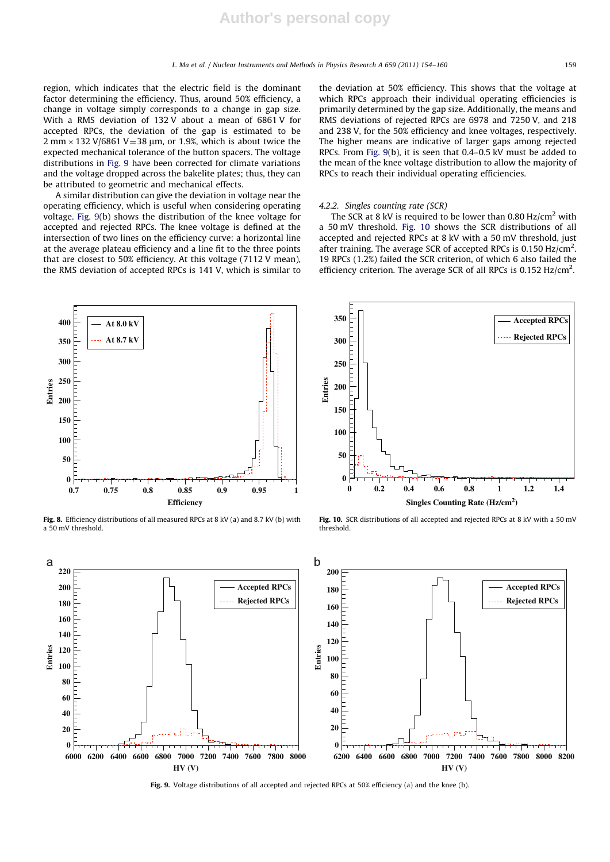region, which indicates that the electric field is the dominant factor determining the efficiency. Thus, around 50% efficiency, a change in voltage simply corresponds to a change in gap size. With a RMS deviation of 132 V about a mean of 6861 V for accepted RPCs, the deviation of the gap is estimated to be  $2$  mm  $\times$  132 V/6861 V = 38 µm, or 1.9%, which is about twice the expected mechanical tolerance of the button spacers. The voltage distributions in Fig. 9 have been corrected for climate variations and the voltage dropped across the bakelite plates; thus, they can be attributed to geometric and mechanical effects.

A similar distribution can give the deviation in voltage near the operating efficiency, which is useful when considering operating voltage. Fig. 9(b) shows the distribution of the knee voltage for accepted and rejected RPCs. The knee voltage is defined at the intersection of two lines on the efficiency curve: a horizontal line at the average plateau efficiency and a line fit to the three points that are closest to 50% efficiency. At this voltage (7112 V mean), the RMS deviation of accepted RPCs is 141 V, which is similar to



Fig. 8. Efficiency distributions of all measured RPCs at 8 kV (a) and 8.7 kV (b) with a 50 mV threshold.

the deviation at 50% efficiency. This shows that the voltage at which RPCs approach their individual operating efficiencies is primarily determined by the gap size. Additionally, the means and RMS deviations of rejected RPCs are 6978 and 7250 V, and 218 and 238 V, for the 50% efficiency and knee voltages, respectively. The higher means are indicative of larger gaps among rejected RPCs. From Fig. 9(b), it is seen that 0.4–0.5 kV must be added to the mean of the knee voltage distribution to allow the majority of RPCs to reach their individual operating efficiencies.

#### 4.2.2. Singles counting rate (SCR)

The SCR at 8 kV is required to be lower than 0.80 Hz/ $\text{cm}^2$  with a 50 mV threshold. Fig. 10 shows the SCR distributions of all accepted and rejected RPCs at 8 kV with a 50 mV threshold, just after training. The average SCR of accepted RPCs is 0.150 Hz/cm<sup>2</sup>. 19 RPCs (1.2%) failed the SCR criterion, of which 6 also failed the efficiency criterion. The average SCR of all RPCs is 0.152 Hz/cm<sup>2</sup>.



Fig. 10. SCR distributions of all accepted and rejected RPCs at 8 kV with a 50 mV threshold.



Fig. 9. Voltage distributions of all accepted and rejected RPCs at 50% efficiency (a) and the knee (b).